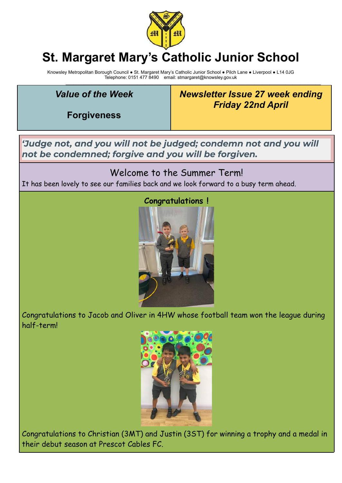

# **St. Margaret Mary's Catholic Junior School**

Knowsley Metropolitan Borough Council ● St. Margaret Mary's Catholic Junior School ● Pilch Lane ● Liverpool ● L14 0JG Telephone: 0151 477 8490 email: stmargaret@knowsley.gov.uk

\_\_\_\_\_\_\_\_\_\_\_\_\_\_\_\_\_\_\_\_\_\_\_\_\_\_\_\_\_\_\_\_\_\_\_\_\_\_\_\_\_\_\_\_\_\_\_\_\_\_\_\_\_\_\_\_\_\_\_\_\_\_\_\_\_\_\_\_\_\_\_\_\_\_\_\_\_\_\_\_\_\_\_\_\_\_\_\_\_\_\_\_\_\_\_\_\_\_\_\_

## *Value of the Week*

**Forgiveness**

*Newsletter Issue 27 week ending Friday 22nd April*

*'Judge not, and you will not be judged; condemn not and you will not be condemned; forgive and you will be forgiven.*

### Welcome to the Summer Term!

It has been lovely to see our families back and we look forward to a busy term ahead.



Congratulations to Jacob and Oliver in 4HW whose football team won the league during half-term!



Congratulations to Christian (3MT) and Justin (3ST) for winning a trophy and a medal in their debut season at Prescot Cables FC.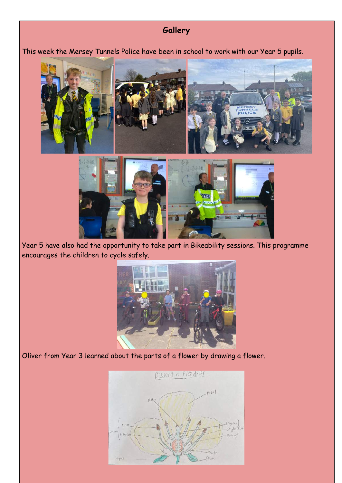## **Gallery**

This week the Mersey Tunnels Police have been in school to work with our Year 5 pupils.



Year 5 have also had the opportunity to take part in Bikeability sessions. This programme encourages the children to cycle safely.



Oliver from Year 3 learned about the parts of a flower by drawing a flower.

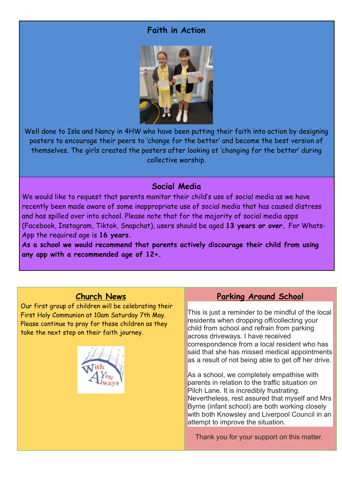#### **Faith in Action**



Well done to Isla and Nancy in 4HW who have been putting their faith into action by designing posters to encourage their peers to 'change for the better' and become the best version of themselves. The girls created the posters after looking at 'changing for the better' during collective worship.

#### **Social Media**

We would like to request that parents monitor their child's use of social media as we have recently been made aware of some inappropriate use of social media that has caused distress and has spilled over into school. Please note that for the majority of social media apps (Facebook, Instagram, Tiktok, Snapchat), users should be aged **13 years or over.** For Whats-App the required age is **16 years.**

**As a school we would recommend that parents actively discourage their child from using any app with a recommended age of 12+.**

#### **Church News**

Our first group of children will be celebrating their First Holy Communion at 10am Saturday 7th May. Please continue to pray for these children as they take the next step on their faith journey.



#### **Parking Around School**

This is just a reminder to be mindful of the local residents when dropping off/collecting your child from school and refrain from parking across driveways. I have received correspondence from a local resident who has said that she has missed medical appointments as a result of not being able to get off her drive.

As a school, we completely empathise with parents in relation to the traffic situation on Pilch Lane. It is incredibly frustrating. Nevertheless, rest assured that myself and Mrs Byrne (infant school) are both working closely with both Knowsley and Liverpool Council in an attempt to improve the situation.

Thank you for your support on this matter.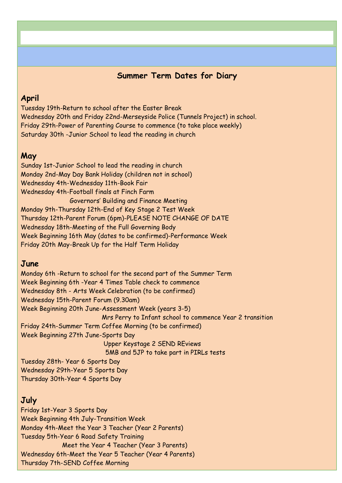#### **Summer Term Dates for Diary**

#### **April**

Tuesday 19th-Return to school after the Easter Break Wednesday 20th and Friday 22nd-Merseyside Police (Tunnels Project) in school. Friday 29th-Power of Parenting Course to commence (to take place weekly) Saturday 30th -Junior School to lead the reading in church

#### **May**

Sunday 1st-Junior School to lead the reading in church Monday 2nd-May Day Bank Holiday (children not in school) Wednesday 4th-Wednesday 11th-Book Fair Wednesday 4th-Football finals at Finch Farm Governors' Building and Finance Meeting Monday 9th-Thursday 12th-End of Key Stage 2 Test Week Thursday 12th-Parent Forum (6pm)-PLEASE NOTE CHANGE OF DATE Wednesday 18th-Meeting of the Full Governing Body Week Beginning 16th May (dates to be confirmed)-Performance Week Friday 20th May-Break Up for the Half Term Holiday

#### **June**

Monday 6th -Return to school for the second part of the Summer Term Week Beginning 6th -Year 4 Times Table check to commence Wednesday 8th - Arts Week Celebration (to be confirmed) Wednesday 15th-Parent Forum (9.30am) Week Beginning 20th June-Assessment Week (years 3-5) Mrs Perry to Infant school to commence Year 2 transition Friday 24th-Summer Term Coffee Morning (to be confirmed) Week Beginning 27th June-Sports Day Upper Keystage 2 SEND REviews 5MB and 5JP to take part in PIRLs tests Tuesday 28th- Year 6 Sports Day Wednesday 29th-Year 5 Sports Day

Thursday 30th-Year 4 Sports Day

#### **July**

Friday 1st-Year 3 Sports Day Week Beginning 4th July-Transition Week Monday 4th-Meet the Year 3 Teacher (Year 2 Parents) Tuesday 5th-Year 6 Road Safety Training Meet the Year 4 Teacher (Year 3 Parents) Wednesday 6th-Meet the Year 5 Teacher (Year 4 Parents) Thursday 7th-SEND Coffee Morning